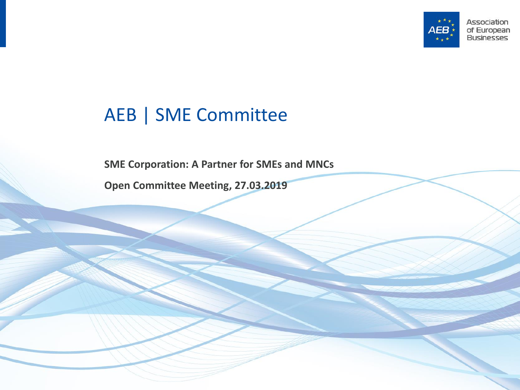

#### AEB | SME Committee

**SME Corporation: A Partner for SMEs and MNCs**

**Open Committee Meeting, 27.03.2019**

Open Committee Meeting | 27.03.2019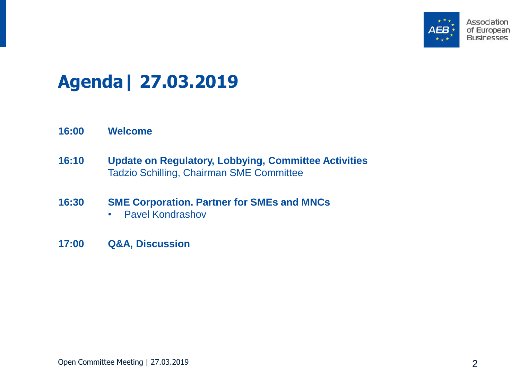

## **Agenda| 27.03.2019**

- **16:00 Welcome**
- **16:10 Update on Regulatory, Lobbying, Committee Activities** Tadzio Schilling, Chairman SME Committee
- **16:30 SME Corporation. Partner for SMEs and MNCs**
	- Pavel Kondrashov
- **17:00 Q&A, Discussion**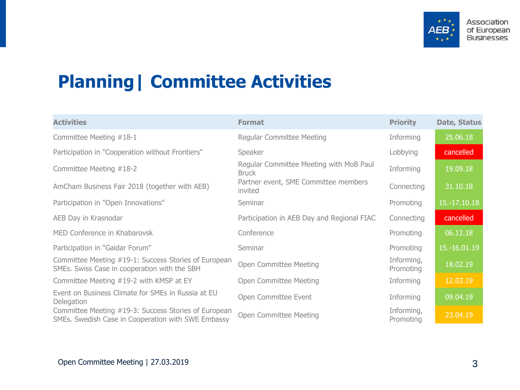

## **Planning| Committee Activities**

| <b>Activities</b>                                                                                          | <b>Format</b>                                           | <b>Priority</b>         | Date, Status |
|------------------------------------------------------------------------------------------------------------|---------------------------------------------------------|-------------------------|--------------|
| Committee Meeting #18-1                                                                                    | <b>Regular Committee Meeting</b>                        | Informing               | 25.06.18     |
| Participation in "Cooperation without Frontiers"                                                           | Speaker                                                 | Lobbying                | cancelled    |
| Committee Meeting #18-2                                                                                    | Regular Committee Meeting with MoB Paul<br><b>Bruck</b> | Informing               | 19.09.18     |
| AmCham Business Fair 2018 (together with AEB)                                                              | Partner event, SME Committee members<br>invited         | Connecting              | 31.10.18     |
| Participation in "Open Innovations"                                                                        | Seminar                                                 | Promoting               | 15.-17.10.18 |
| AEB Day in Krasnodar                                                                                       | Participation in AEB Day and Regional FIAC              | Connecting              | cancelled    |
| MED Conference in Khabarovsk                                                                               | Conference                                              | Promoting               | 06.12.18     |
| Participation in "Gaidar Forum"                                                                            | Seminar                                                 | Promoting               | 15.-16.01.19 |
| Committee Meeting #19-1: Success Stories of European<br>SMEs. Swiss Case in cooperation with the SBH       | Open Committee Meeting                                  | Informing,<br>Promoting | 18.02.19     |
| Committee Meeting #19-2 with KMSP at EY                                                                    | Open Committee Meeting                                  | Informing               | 12.03.19     |
| Event on Business Climate for SMEs in Russia at EU<br>Delegation                                           | Open Committee Event                                    | Informing               | 09.04.19     |
| Committee Meeting #19-3: Success Stories of European<br>SMEs. Swedish Case in Cooperation with SWE Embassy | Open Committee Meeting                                  | Informing,<br>Promoting | 23.04.19     |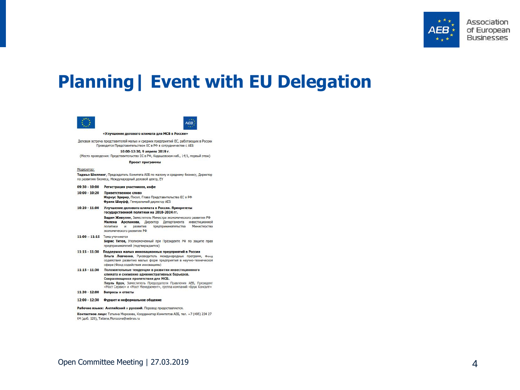

### **Planning| Event with EU Delegation**





«Улучшение делового климата для МСБ в России»

Деловая встреча представителей малых и средних предприятий ЕС, работающих в России Проводится Представительством ЕС в РФ в сотрудничестве с АЕБ

10:00-12:30, 9 апреля 2019 г.

(Место проведения: Представительство ЕС в РФ, Кадашевская наб., 14/1, первый этаж)

Проект программы

Moneparop:

Таджьо Шиллинг, Председатель Комитета АЕБ по малому и среднему бизнесу, Директор по развитию бизнеса, Международный деловой центр, ЕҮ

- 09:30 10:00 Регистрация участников, кофе
- 10:00 10:20 Приветственное слово Маркус Эдерер, Посол, Глава Представительства ЕС в РФ Франк Шауфф, Генеральный директор АЕБ
- 10:20 11:00 Улучшение делового климата в России. Приоритеты государственной политики на 2018-2024 гг. Вадим Живулин, Заместитель Министра экономического развития РФ Милена Арсланова, Директор Департамента инвестиционной политики и развития предпринимательства Министерства экономического развития РФ
- 11:00 11:15 Тема уточняется Борис Титов, Уполномоченный при Президенте РФ по защите прав предпринимателей (подтверждается)
- 11:15 11:30 Поддержка малых инновационных предприятий в России Ольга Левченко, Руководитель международных программ, Фонд содействия развитию малых форм предприятий в научно-технической сфере (Фонд содействия инновациям)
- 11:15 11:30 Положительные тенденции в развитии инвестиционного климата и снижение административных барьеров. Сохраняющиеся препятствия для МСБ. Пауль Брук, Заместитель Председателя Правления АЕБ, Президент «Мост Сервис» и «Мост Менеджмент», группа компаний «Брук Консалт»
- 11:30 12:00 Вопросы и ответы
- 12:00 12:30 Фуршет и неформальное общение

Рабочие языки: Английский и русский. Перевод предоставляется.

Контактное лицо: Татьяна Морозова, Координатор Комитетов АЕБ, тел. +7 (495) 234 27 64 (доб. 120), Tatiana.Morozova@aebrus.ru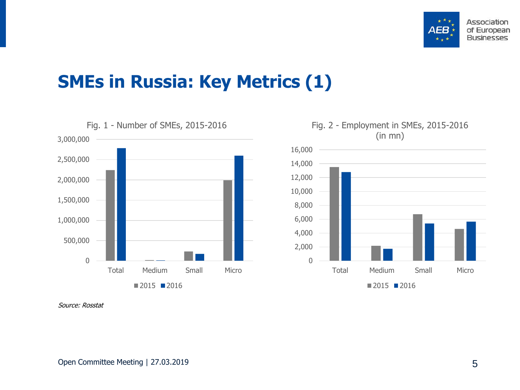

### **SMEs in Russia: Key Metrics (1)**





Source: Rosstat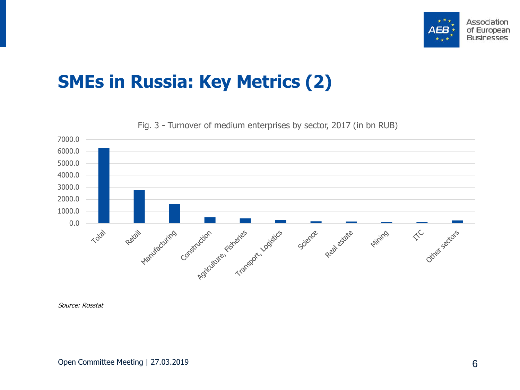

## **SMEs in Russia: Key Metrics (2)**

7000.0 6000.0 5000.0 4000.0 3000.0 2000.0 1000.0 0.0 Retail Marylacutrics Construction Transport, Logistics Other sectors  $\Leftrightarrow^\mathsf{C}$ Total Mining Science Real estate

Fig. 3 - Turnover of medium enterprises by sector, 2017 (in bn RUB)

Source: Rosstat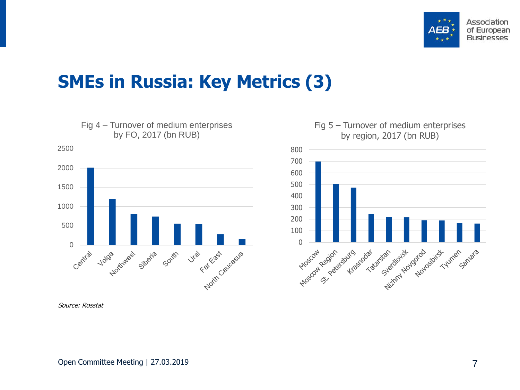

### **SMEs in Russia: Key Metrics (3)**





Source: Rosstat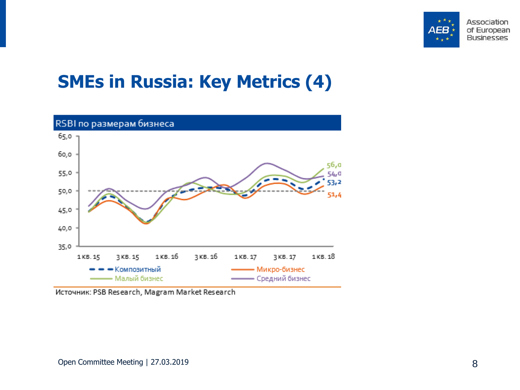

## **SMEs in Russia: Key Metrics (4)**



Источник: PSB Research, Magram Market Research